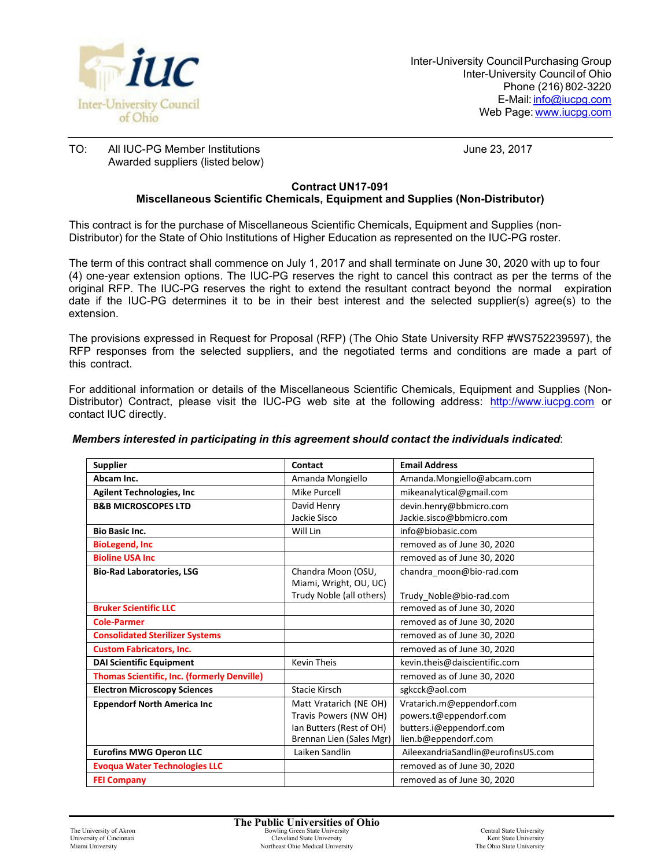

TO: All IUC-PG Member Institutions Awarded suppliers (listed below) June 23, 2017

## **Contract UN17-091 Miscellaneous Scientific Chemicals, Equipment and Supplies (Non-Distributor)**

This contract is for the purchase of Miscellaneous Scientific Chemicals, Equipment and Supplies (non-Distributor) for the State of Ohio Institutions of Higher Education as represented on the IUC-PG roster.

The term of this contract shall commence on July 1, 2017 and shall terminate on June 30, 2020 with up to four (4) one-year extension options. The IUC-PG reserves the right to cancel this contract as per the terms of the original RFP. The IUC-PG reserves the right to extend the resultant contract beyond the normal expiration date if the IUC-PG determines it to be in their best interest and the selected supplier(s) agree(s) to the extension.

The provisions expressed in Request for Proposal (RFP) (The Ohio State University RFP #WS752239597), the RFP responses from the selected suppliers, and the negotiated terms and conditions are made a part of this contract.

For additional information or details of the Miscellaneous Scientific Chemicals, Equipment and Supplies (Non-Distributor) Contract, please visit the IUC-PG web site at the following address: [http://www.iucpg.com](http://www.iucpg.com/) or contact IUC directly.

| <b>Supplier</b>                                    | Contact                  | <b>Email Address</b>               |
|----------------------------------------------------|--------------------------|------------------------------------|
| Abcam Inc.                                         | Amanda Mongiello         | Amanda.Mongiello@abcam.com         |
| <b>Agilent Technologies, Inc</b>                   | Mike Purcell             | mikeanalytical@gmail.com           |
| <b>B&amp;B MICROSCOPES LTD</b>                     | David Henry              | devin.henry@bbmicro.com            |
|                                                    | Jackie Sisco             | Jackie.sisco@bbmicro.com           |
| <b>Bio Basic Inc.</b>                              | Will Lin                 | info@biobasic.com                  |
| <b>BioLegend, Inc.</b>                             |                          | removed as of June 30, 2020        |
| <b>Bioline USA Inc.</b>                            |                          | removed as of June 30, 2020        |
| <b>Bio-Rad Laboratories, LSG</b>                   | Chandra Moon (OSU,       | chandra_moon@bio-rad.com           |
|                                                    | Miami, Wright, OU, UC)   |                                    |
|                                                    | Trudy Noble (all others) | Trudy_Noble@bio-rad.com            |
| <b>Bruker Scientific LLC</b>                       |                          | removed as of June 30, 2020        |
| <b>Cole-Parmer</b>                                 |                          | removed as of June 30, 2020        |
| <b>Consolidated Sterilizer Systems</b>             |                          | removed as of June 30, 2020        |
| <b>Custom Fabricators, Inc.</b>                    |                          | removed as of June 30, 2020        |
| <b>DAI Scientific Equipment</b>                    | <b>Kevin Theis</b>       | kevin.theis@daiscientific.com      |
| <b>Thomas Scientific, Inc. (formerly Denville)</b> |                          | removed as of June 30, 2020        |
| <b>Electron Microscopy Sciences</b>                | Stacie Kirsch            | sgkcck@aol.com                     |
| <b>Eppendorf North America Inc</b>                 | Matt Vratarich (NE OH)   | Vratarich.m@eppendorf.com          |
|                                                    | Travis Powers (NW OH)    | powers.t@eppendorf.com             |
|                                                    | Ian Butters (Rest of OH) | butters.i@eppendorf.com            |
|                                                    | Brennan Lien (Sales Mgr) | lien.b@eppendorf.com               |
| <b>Eurofins MWG Operon LLC</b>                     | Laiken Sandlin           | AileexandriaSandlin@eurofinsUS.com |
| <b>Evoqua Water Technologies LLC</b>               |                          | removed as of June 30, 2020        |
| <b>FEI Company</b>                                 |                          | removed as of June 30, 2020        |

## *Members interested in participating in this agreement should contact the individuals indicated*: